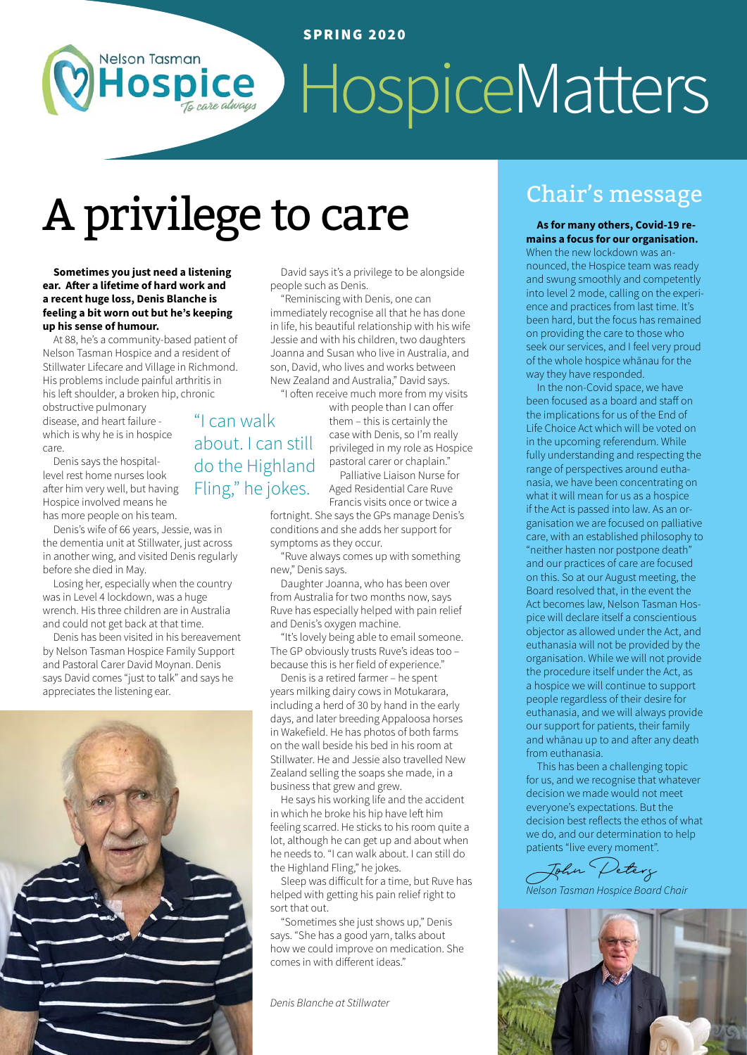# ospice HospiceMatters

## A privilege to care Chair's message

**Sometimes you just need a listening ear. After a lifetime of hard work and a recent huge loss, Denis Blanche is feeling a bit worn out but he's keeping up his sense of humour.** 

**Nelson Tasman** 

At 88, he's a community-based patient of Nelson Tasman Hospice and a resident of Stillwater Lifecare and Village in Richmond. His problems include painful arthritis in his left shoulder, a broken hip, chronic

obstructive pulmonary disease, and heart failure which is why he is in hospice care.

Denis says the hospitallevel rest home nurses look after him very well, but having Hospice involved means he has more people on his team.

Denis's wife of 66 years, Jessie, was in the dementia unit at Stillwater, just across in another wing, and visited Denis regularly before she died in May.

Losing her, especially when the country was in Level 4 lockdown, was a huge wrench. His three children are in Australia and could not get back at that time.

Denis has been visited in his bereavement by Nelson Tasman Hospice Family Support and Pastoral Carer David Moynan. Denis says David comes "just to talk" and says he appreciates the listening ear.



David says it's a privilege to be alongside people such as Denis.

"Reminiscing with Denis, one can immediately recognise all that he has done in life, his beautiful relationship with his wife Jessie and with his children, two daughters Joanna and Susan who live in Australia, and son, David, who lives and works between New Zealand and Australia," David says. "I often receive much more from my visits

"I can walk about. I can still do the Highland Fling," he jokes.

with people than I can offer them – this is certainly the case with Denis, so I'm really privileged in my role as Hospice pastoral carer or chaplain." Palliative Liaison Nurse for

Aged Residential Care Ruve Francis visits once or twice a fortnight. She says the GPs manage Denis's

conditions and she adds her support for symptoms as they occur.

"Ruve always comes up with something new," Denis says.

Daughter Joanna, who has been over from Australia for two months now, says Ruve has especially helped with pain relief and Denis's oxygen machine.

"It's lovely being able to email someone. The GP obviously trusts Ruve's ideas too – because this is her field of experience."

Denis is a retired farmer – he spent years milking dairy cows in Motukarara, including a herd of 30 by hand in the early days, and later breeding Appaloosa horses in Wakefield. He has photos of both farms on the wall beside his bed in his room at Stillwater. He and Jessie also travelled New Zealand selling the soaps she made, in a business that grew and grew.

He says his working life and the accident in which he broke his hip have left him feeling scarred. He sticks to his room quite a lot, although he can get up and about when he needs to. "I can walk about. I can still do the Highland Fling," he jokes.

Sleep was difficult for a time, but Ruve has helped with getting his pain relief right to sort that out.

"Sometimes she just shows up," Denis says. "She has a good yarn, talks about how we could improve on medication. She comes in with different ideas."

*Denis Blanche at Stillwater*

**As for many others, Covid-19 remains a focus for our organisation.**  When the new lockdown was announced, the Hospice team was ready and swung smoothly and competently into level 2 mode, calling on the experience and practices from last time. It's been hard, but the focus has remained on providing the care to those who seek our services, and I feel very proud of the whole hospice whānau for the way they have responded.

In the non-Covid space, we have been focused as a board and staff on the implications for us of the End of Life Choice Act which will be voted on in the upcoming referendum. While fully understanding and respecting the range of perspectives around euthanasia, we have been concentrating on what it will mean for us as a hospice if the Act is passed into law. As an organisation we are focused on palliative care, with an established philosophy to "neither hasten nor postpone death" and our practices of care are focused on this. So at our August meeting, the Board resolved that, in the event the Act becomes law, Nelson Tasman Hospice will declare itself a conscientious objector as allowed under the Act, and euthanasia will not be provided by the organisation. While we will not provide the procedure itself under the Act, as a hospice we will continue to support people regardless of their desire for euthanasia, and we will always provide our support for patients, their family and whānau up to and after any death from euthanasia.

This has been a challenging topic for us, and we recognise that whatever decision we made would not meet everyone's expectations. But the decision best reflects the ethos of what we do, and our determination to help patients "live every moment".

John Peters

*Nelson Tasman Hospice Board Chair*

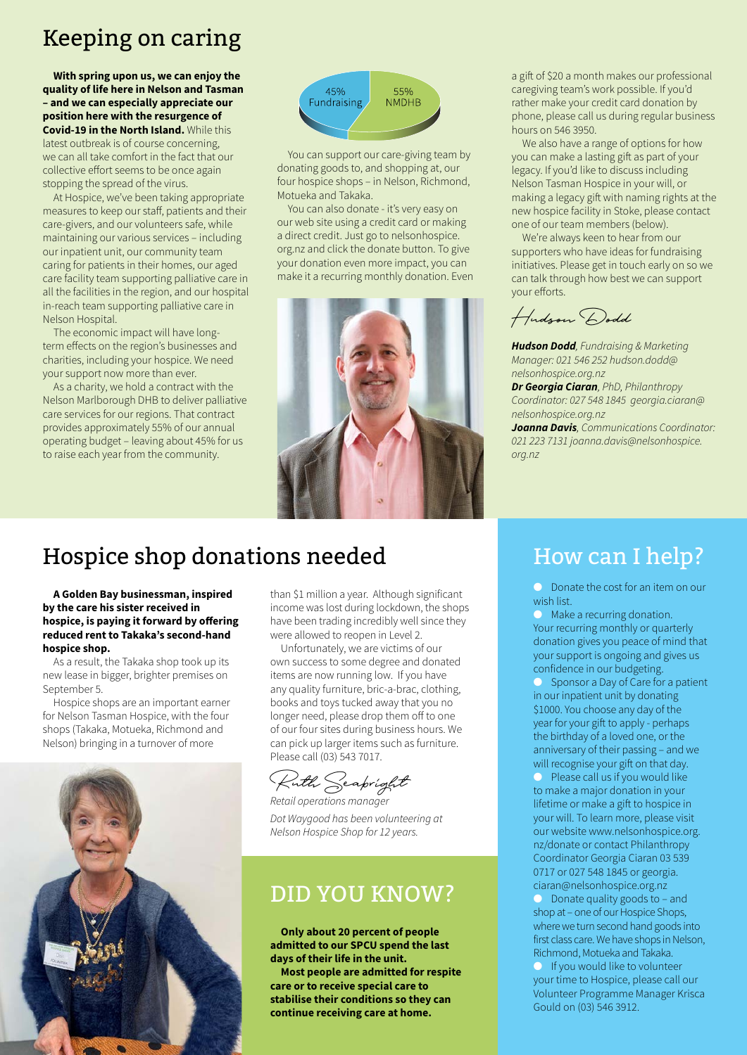## Keeping on caring

**With spring upon us, we can enjoy the quality of life here in Nelson and Tasman – and we can especially appreciate our position here with the resurgence of Covid-19 in the North Island.** While this latest outbreak is of course concerning, we can all take comfort in the fact that our collective effort seems to be once again stopping the spread of the virus.

At Hospice, we've been taking appropriate measures to keep our staff, patients and their care-givers, and our volunteers safe, while maintaining our various services – including our inpatient unit, our community team caring for patients in their homes, our aged care facility team supporting palliative care in all the facilities in the region, and our hospital in-reach team supporting palliative care in Nelson Hospital.

The economic impact will have longterm effects on the region's businesses and charities, including your hospice. We need your support now more than ever.

As a charity, we hold a contract with the Nelson Marlborough DHB to deliver palliative care services for our regions. That contract provides approximately 55% of our annual operating budget – leaving about 45% for us to raise each year from the community.



You can support our care-giving team by donating goods to, and shopping at, our four hospice shops – in Nelson, Richmond, Motueka and Takaka.

You can also donate - it's very easy on our web site using a credit card or making a direct credit. Just go to nelsonhospice. org.nz and click the donate button. To give your donation even more impact, you can make it a recurring monthly donation. Even



a gift of \$20 a month makes our professional caregiving team's work possible. If you'd rather make your credit card donation by phone, please call us during regular business hours on 546 3950.

We also have a range of options for how you can make a lasting gift as part of your legacy. If you'd like to discuss including Nelson Tasman Hospice in your will, or making a legacy gift with naming rights at the new hospice facility in Stoke, please contact one of our team members (below).

We're always keen to hear from our supporters who have ideas for fundraising initiatives. Please get in touch early on so we can talk through how best we can support your efforts.

Hudson Dodd

*Hudson Dodd, Fundraising & Marketing Manager: 021 546 252 hudson.dodd@ nelsonhospice.org.nz* 

*Dr Georgia Ciaran, PhD, Philanthropy Coordinator: 027 548 1845 georgia.ciaran@ nelsonhospice.org.nz* 

*Joanna Davis, Communications Coordinator: 021 223 7131 joanna.davis@nelsonhospice. org.nz* 

## Hospice shop donations needed

**A Golden Bay businessman, inspired by the care his sister received in hospice, is paying it forward by offering reduced rent to Takaka's second-hand hospice shop.** 

As a result, the Takaka shop took up its new lease in bigger, brighter premises on September 5.

Hospice shops are an important earner for Nelson Tasman Hospice, with the four shops (Takaka, Motueka, Richmond and Nelson) bringing in a turnover of more



than \$1 million a year. Although significant income was lost during lockdown, the shops have been trading incredibly well since they were allowed to reopen in Level 2.

Unfortunately, we are victims of our own success to some degree and donated items are now running low. If you have any quality furniture, bric-a-brac, clothing, books and toys tucked away that you no longer need, please drop them off to one of our four sites during business hours. We can pick up larger items such as furniture. Please call (03) 543 7017.

Ruth Seabright

*Retail operations manager Dot Waygood has been volunteering at Nelson Hospice Shop for 12 years.*

### DID YOU KNOW?

**Only about 20 percent of people admitted to our SPCU spend the last days of their life in the unit.** 

**Most people are admitted for respite care or to receive special care to stabilise their conditions so they can continue receiving care at home.**

## How can I help?

 $\bullet$  Donate the cost for an item on our wish list.

 $\bullet$  Make a recurring donation. Your recurring monthly or quarterly donation gives you peace of mind that your support is ongoing and gives us confidence in our budgeting.

Sponsor a Day of Care for a patient in our inpatient unit by donating \$1000. You choose any day of the year for your gift to apply - perhaps the birthday of a loved one, or the anniversary of their passing – and we will recognise your gift on that day.

 $\bullet$  Please call us if you would like to make a major donation in your lifetime or make a gift to hospice in your will. To learn more, please visit our website www.nelsonhospice.org. nz/donate or contact Philanthropy Coordinator Georgia Ciaran 03 539 0717 or 027 548 1845 or georgia. ciaran@nelsonhospice.org.nz

 $\bullet$  Donate quality goods to – and shop at – one of our Hospice Shops, where we turn second hand goods into first class care. We have shops in Nelson, Richmond, Motueka and Takaka.

 $\bullet$  If you would like to volunteer your time to Hospice, please call our Volunteer Programme Manager Krisca Gould on (03) 546 3912.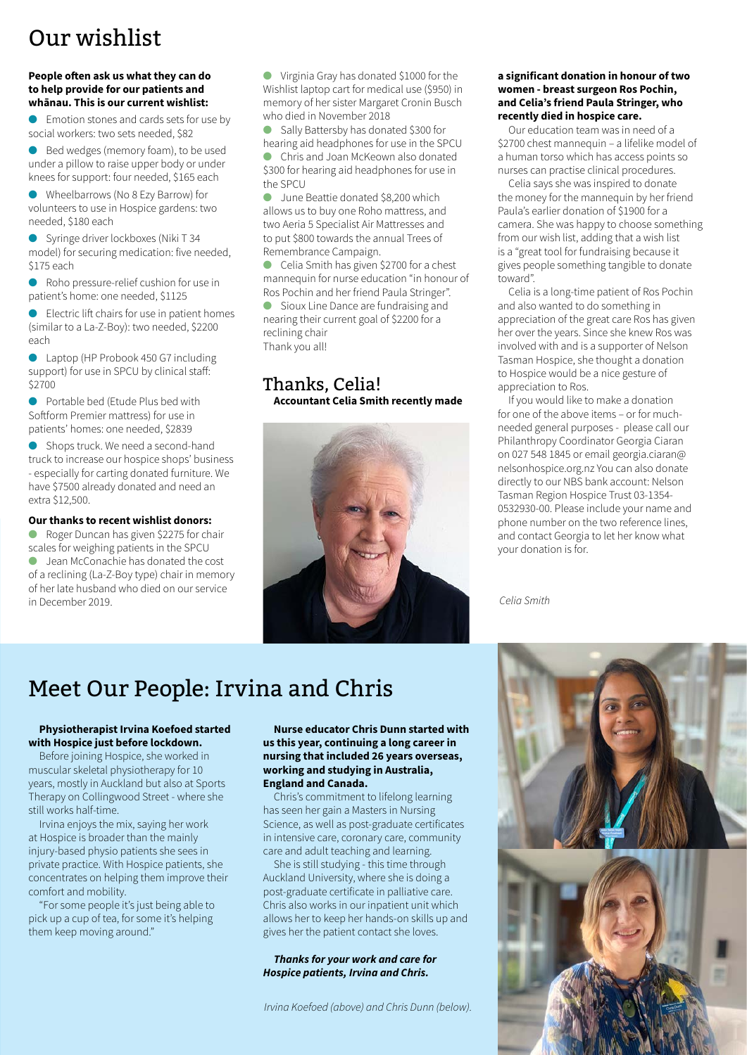## Our wishlist

#### **People often ask us what they can do to help provide for our patients and whānau. This is our current wishlist:**

Emotion stones and cards sets for use by social workers: two sets needed, \$82

● Bed wedges (memory foam), to be used under a pillow to raise upper body or under knees for support: four needed, \$165 each

l Wheelbarrows (No 8 Ezy Barrow) for volunteers to use in Hospice gardens: two needed, \$180 each

Syringe driver lockboxes (Niki T 34 model) for securing medication: five needed, \$175 each

● Roho pressure-relief cushion for use in patient's home: one needed, \$1125

 $\bullet$  Electric lift chairs for use in patient homes (similar to a La-Z-Boy): two needed, \$2200 each

● Laptop (HP Probook 450 G7 including support) for use in SPCU by clinical staff: \$2700

● Portable bed (Ftude Plus bed with Softform Premier mattress) for use in patients' homes: one needed, \$2839

**e** Shops truck. We need a second-hand truck to increase our hospice shops' business - especially for carting donated furniture. We have \$7500 already donated and need an extra \$12,500.

#### **Our thanks to recent wishlist donors:**

Roger Duncan has given \$2275 for chair scales for weighing patients in the SPCU l Jean McConachie has donated the cost of a reclining (La-Z-Boy type) chair in memory of her late husband who died on our service in December 2019.

l Virginia Gray has donated \$1000 for the Wishlist laptop cart for medical use (\$950) in memory of her sister Margaret Cronin Busch who died in November 2018

● Sally Battersby has donated \$300 for hearing aid headphones for use in the SPCU Chris and Joan McKeown also donated \$300 for hearing aid headphones for use in

the SPCU l June Beattie donated \$8,200 which

allows us to buy one Roho mattress, and two Aeria 5 Specialist Air Mattresses and to put \$800 towards the annual Trees of Remembrance Campaign.

Celia Smith has given \$2700 for a chest mannequin for nurse education "in honour of Ros Pochin and her friend Paula Stringer".

Sioux Line Dance are fundraising and nearing their current goal of \$2200 for a reclining chair Thank you all!

#### Thanks, Celia! **Accountant Celia Smith recently made**



#### **a significant donation in honour of two women - breast surgeon Ros Pochin, and Celia's friend Paula Stringer, who recently died in hospice care.**

Our education team was in need of a \$2700 chest mannequin – a lifelike model of a human torso which has access points so nurses can practise clinical procedures.

Celia says she was inspired to donate the money for the mannequin by her friend Paula's earlier donation of \$1900 for a camera. She was happy to choose something from our wish list, adding that a wish list is a "great tool for fundraising because it gives people something tangible to donate toward".

Celia is a long-time patient of Ros Pochin and also wanted to do something in appreciation of the great care Ros has given her over the years. Since she knew Ros was involved with and is a supporter of Nelson Tasman Hospice, she thought a donation to Hospice would be a nice gesture of appreciation to Ros.

If you would like to make a donation for one of the above items – or for muchneeded general purposes - please call our Philanthropy Coordinator Georgia Ciaran on 027 548 1845 or email georgia.ciaran@ nelsonhospice.org.nz You can also donate directly to our NBS bank account: Nelson Tasman Region Hospice Trust 03-1354- 0532930-00. Please include your name and phone number on the two reference lines, and contact Georgia to let her know what your donation is for.

*Celia Smith*

## Meet Our People: Irvina and Chris

#### **Physiotherapist Irvina Koefoed started with Hospice just before lockdown.**

Before joining Hospice, she worked in muscular skeletal physiotherapy for 10 years, mostly in Auckland but also at Sports Therapy on Collingwood Street - where she still works half-time.

Irvina enjoys the mix, saying her work at Hospice is broader than the mainly injury-based physio patients she sees in private practice. With Hospice patients, she concentrates on helping them improve their comfort and mobility.

"For some people it's just being able to pick up a cup of tea, for some it's helping them keep moving around."

**Nurse educator Chris Dunn started with us this year, continuing a long career in nursing that included 26 years overseas, working and studying in Australia, England and Canada.**

Chris's commitment to lifelong learning has seen her gain a Masters in Nursing Science, as well as post-graduate certificates in intensive care, coronary care, community care and adult teaching and learning.

She is still studying - this time through Auckland University, where she is doing a post-graduate certificate in palliative care. Chris also works in our inpatient unit which allows her to keep her hands-on skills up and gives her the patient contact she loves.

#### *Thanks for your work and care for Hospice patients, Irvina and Chris.*

*Irvina Koefoed (above) and Chris Dunn (below).*